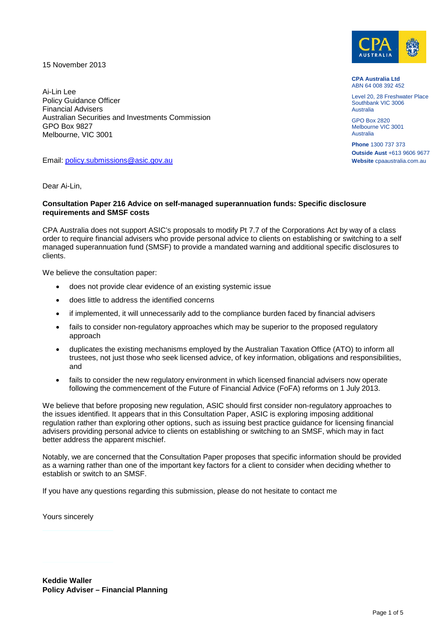

Level 20, 28 Freshwater Place Southbank VIC 3006

**CPA Australia Ltd** ABN 64 008 392 452

**Phone** 1300 737 373 **Outside Aust** +613 9606 9677 **Website** cpaaustralia.com.au

Australia GPO Box 2820 Melbourne VIC 3001

Australia

15 November 2013

Ai-Lin Lee Policy Guidance Officer Financial Advisers Australian Securities and Investments Commission GPO Box 9827 Melbourne, VIC 3001

Email: policy.submissions@asic.gov.au

Dear Ai-Lin,

#### **Consultation Paper 216 Advice on self-managed superannuation funds: Specific disclosure requirements and SMSF costs**

CPA Australia does not support ASIC's proposals to modify Pt 7.7 of the Corporations Act by way of a class order to require financial advisers who provide personal advice to clients on establishing or switching to a self managed superannuation fund (SMSF) to provide a mandated warning and additional specific disclosures to clients.

We believe the consultation paper:

- does not provide clear evidence of an existing systemic issue
- does little to address the identified concerns
- if implemented, it will unnecessarily add to the compliance burden faced by financial advisers
- fails to consider non-regulatory approaches which may be superior to the proposed regulatory approach
- duplicates the existing mechanisms employed by the Australian Taxation Office (ATO) to inform all trustees, not just those who seek licensed advice, of key information, obligations and responsibilities, and
- fails to consider the new regulatory environment in which licensed financial advisers now operate following the commencement of the Future of Financial Advice (FoFA) reforms on 1 July 2013.

We believe that before proposing new regulation, ASIC should first consider non-regulatory approaches to the issues identified. It appears that in this Consultation Paper, ASIC is exploring imposing additional regulation rather than exploring other options, such as issuing best practice guidance for licensing financial advisers providing personal advice to clients on establishing or switching to an SMSF, which may in fact better address the apparent mischief.

Notably, we are concerned that the Consultation Paper proposes that specific information should be provided as a warning rather than one of the important key factors for a client to consider when deciding whether to establish or switch to an SMSF.

If you have any questions regarding this submission, please do not hesitate to contact me

<span id="page-0-0"></span>Yours sincerely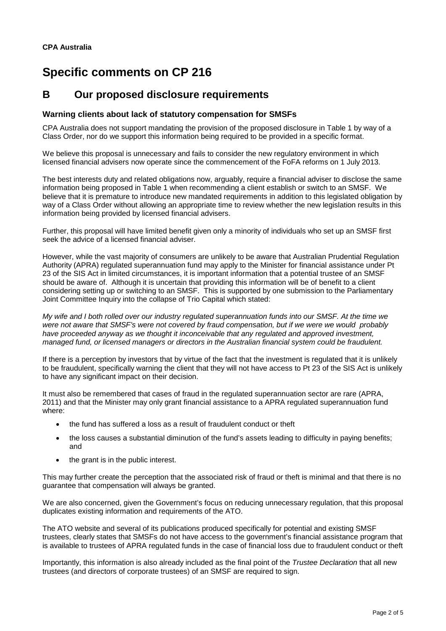# **Specific comments on CP 216**

### **B Our proposed disclosure requirements**

#### **Warning clients about lack of statutory compensation for SMSFs**

CPA Australia does not support mandating the provision of the proposed disclosure in Table 1 by way of a Class Order, nor do we support this information being required to be provided in a specific format.

We believe this proposal is unnecessary and fails to consider the new regulatory environment in which licensed financial advisers now operate since the commencement of the FoFA reforms on 1 July 2013.

The best interests duty and related obligations now, arguably, require a financial adviser to disclose the same information being proposed in Table 1 when recommending a client establish or switch to an SMSF. We believe that it is premature to introduce new mandated requirements in addition to this legislated obligation by way of a Class Order without allowing an appropriate time to review whether the new legislation results in this information being provided by licensed financial advisers.

Further, this proposal will have limited benefit given only a minority of individuals who set up an SMSF first seek the advice of a licensed financial adviser.

However, while the vast majority of consumers are unlikely to be aware that Australian Prudential Regulation Authority (APRA) regulated superannuation fund may apply to the Minister for financial assistance under Pt 23 of the SIS Act in limited circumstances, it is important information that a potential trustee of an SMSF should be aware of. Although it is uncertain that providing this information will be of benefit to a client considering setting up or switching to an SMSF. This is supported by one submission to the Parliamentary Joint Committee Inquiry into the collapse of Trio Capital which stated:

*My wife and I both rolled over our industry regulated superannuation funds into our SMSF. At the time we were not aware that SMSF's were not covered by fraud compensation, but if we were we would probably*  have proceeded anyway as we thought it inconceivable that any regulated and approved investment, *managed fund, or licensed managers or directors in the Australian financial system could be fraudulent.*

If there is a perception by investors that by virtue of the fact that the investment is regulated that it is unlikely to be fraudulent, specifically warning the client that they will not have access to Pt 23 of the SIS Act is unlikely to have any significant impact on their decision.

It must also be remembered that cases of fraud in the regulated superannuation sector are rare (APRA, 2011) and that the Minister may only grant financial assistance to a APRA regulated superannuation fund where:

- the fund has suffered a loss as a result of fraudulent conduct or theft
- the loss causes a substantial diminution of the fund's assets leading to difficulty in paying benefits; and
- the grant is in the public interest.

This may further create the perception that the associated risk of fraud or theft is minimal and that there is no guarantee that compensation will always be granted.

We are also concerned, given the Government's focus on reducing unnecessary regulation, that this proposal duplicates existing information and requirements of the ATO.

The ATO website and several of its publications produced specifically for potential and existing SMSF trustees, clearly states that SMSFs do not have access to the government's financial assistance program that is available to trustees of APRA regulated funds in the case of financial loss due to fraudulent conduct or theft

Importantly, this information is also already included as the final point of the *Trustee Declaration* that all new trustees (and directors of corporate trustees) of an SMSF are required to sign.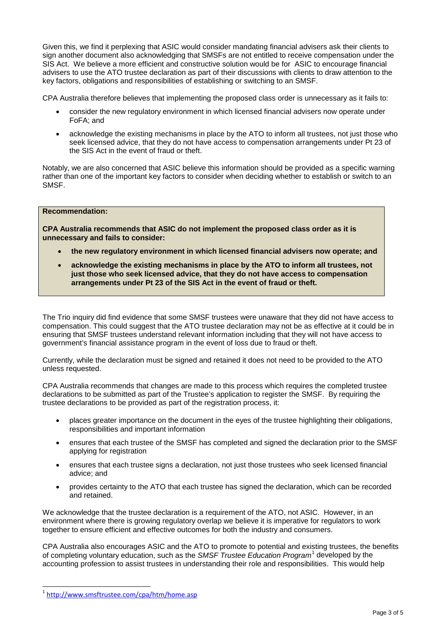Given this, we find it perplexing that ASIC would consider mandating financial advisers ask their clients to sign another document also acknowledging that SMSFs are not entitled to receive compensation under the SIS Act. We believe a more efficient and constructive solution would be for ASIC to encourage financial advisers to use the ATO trustee declaration as part of their discussions with clients to draw attention to the key factors, obligations and responsibilities of establishing or switching to an SMSF.

CPA Australia therefore believes that implementing the proposed class order is unnecessary as it fails to:

- consider the new regulatory environment in which licensed financial advisers now operate under FoFA; and
- acknowledge the existing mechanisms in place by the ATO to inform all trustees, not just those who seek licensed advice, that they do not have access to compensation arrangements under Pt 23 of the SIS Act in the event of fraud or theft.

Notably, we are also concerned that ASIC believe this information should be provided as a specific warning rather than one of the important key factors to consider when deciding whether to establish or switch to an SMSF.

#### **Recommendation:**

**CPA Australia recommends that ASIC do not implement the proposed class order as it is unnecessary and fails to consider:**

- **the new regulatory environment in which licensed financial advisers now operate; and**
- **acknowledge the existing mechanisms in place by the ATO to inform all trustees, not just those who seek licensed advice, that they do not have access to compensation arrangements under Pt 23 of the SIS Act in the event of fraud or theft.**

The Trio inquiry did find evidence that some SMSF trustees were unaware that they did not have access to compensation. This could suggest that the ATO trustee declaration may not be as effective at it could be in ensuring that SMSF trustees understand relevant information including that they will not have access to government's financial assistance program in the event of loss due to fraud or theft.

Currently, while the declaration must be signed and retained it does not need to be provided to the ATO unless requested.

CPA Australia recommends that changes are made to this process which requires the completed trustee declarations to be submitted as part of the Trustee's application to register the SMSF. By requiring the trustee declarations to be provided as part of the registration process, it:

- places greater importance on the document in the eyes of the trustee highlighting their obligations, responsibilities and important information
- ensures that each trustee of the SMSF has completed and signed the declaration prior to the SMSF applying for registration
- ensures that each trustee signs a declaration, not just those trustees who seek licensed financial advice; and
- provides certainty to the ATO that each trustee has signed the declaration, which can be recorded and retained.

We acknowledge that the trustee declaration is a requirement of the ATO, not ASIC. However, in an environment where there is growing regulatory overlap we believe it is imperative for regulators to work together to ensure efficient and effective outcomes for both the industry and consumers.

CPA Australia also encourages ASIC and the ATO to promote to potential and existing trustees, the benefits of completing voluntary education, such as the *SMSF Trustee Education Program*[1](#page-0-0) developed by the accounting profession to assist trustees in understanding their role and responsibilities. This would help

<span id="page-2-0"></span><sup>&</sup>lt;sup>1</sup> http://www.smsft<u>rustee.com/cpa/htm/home.asp</u>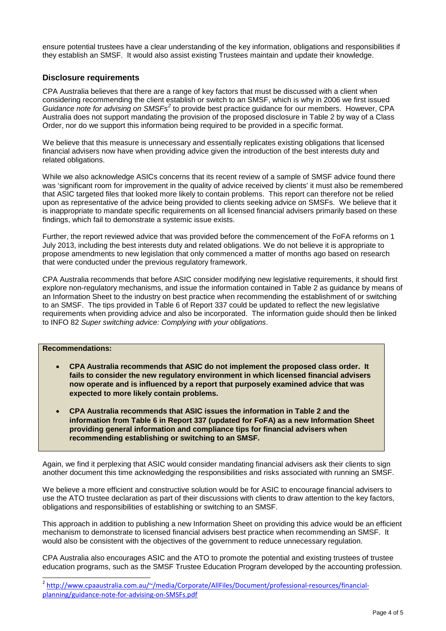ensure potential trustees have a clear understanding of the key information, obligations and responsibilities if they establish an SMSF. It would also assist existing Trustees maintain and update their knowledge.

#### **Disclosure requirements**

CPA Australia believes that there are a range of key factors that must be discussed with a client when considering recommending the client establish or switch to an SMSF, which is why in 2006 we first issued *Guidance note for advising on SMSFs[2](#page-2-0)* to provide best practice guidance for our members. However, CPA Australia does not support mandating the provision of the proposed disclosure in Table 2 by way of a Class Order, nor do we support this information being required to be provided in a specific format.

We believe that this measure is unnecessary and essentially replicates existing obligations that licensed financial advisers now have when providing advice given the introduction of the best interests duty and related obligations.

While we also acknowledge ASICs concerns that its recent review of a sample of SMSF advice found there was 'significant room for improvement in the quality of advice received by clients' it must also be remembered that ASIC targeted files that looked more likely to contain problems. This report can therefore not be relied upon as representative of the advice being provided to clients seeking advice on SMSFs. We believe that it is inappropriate to mandate specific requirements on all licensed financial advisers primarily based on these findings, which fail to demonstrate a systemic issue exists.

Further, the report reviewed advice that was provided before the commencement of the FoFA reforms on 1 July 2013, including the best interests duty and related obligations. We do not believe it is appropriate to propose amendments to new legislation that only commenced a matter of months ago based on research that were conducted under the previous regulatory framework.

CPA Australia recommends that before ASIC consider modifying new legislative requirements, it should first explore non-regulatory mechanisms, and issue the information contained in Table 2 as guidance by means of an Information Sheet to the industry on best practice when recommending the establishment of or switching to an SMSF. The tips provided in Table 6 of Report 337 could be updated to reflect the new legislative requirements when providing advice and also be incorporated. The information guide should then be linked to INFO 82 *Super switching advice: Complying with your obligations*.

#### **Recommendations:**

- **CPA Australia recommends that ASIC do not implement the proposed class order. It fails to consider the new regulatory environment in which licensed financial advisers now operate and is influenced by a report that purposely examined advice that was expected to more likely contain problems.**
- **CPA Australia recommends that ASIC issues the information in Table 2 and the information from Table 6 in Report 337 (updated for FoFA) as a new Information Sheet providing general information and compliance tips for financial advisers when recommending establishing or switching to an SMSF.**

Again, we find it perplexing that ASIC would consider mandating financial advisers ask their clients to sign another document this time acknowledging the responsibilities and risks associated with running an SMSF.

We believe a more efficient and constructive solution would be for ASIC to encourage financial advisers to use the ATO trustee declaration as part of their discussions with clients to draw attention to the key factors, obligations and responsibilities of establishing or switching to an SMSF.

This approach in addition to publishing a new Information Sheet on providing this advice would be an efficient mechanism to demonstrate to licensed financial advisers best practice when recommending an SMSF. It would also be consistent with the objectives of the government to reduce unnecessary regulation.

CPA Australia also encourages ASIC and the ATO to promote the potential and existing trustees of trustee education programs, such as the SMSF Trustee Education Program developed by the accounting profession.

<sup>2</sup> [http://www.cpaaustralia.com.au/~/media/Corporate/AllFiles/Document/professional-resources/financial](http://www.cpaaustralia.com.au/~/media/Corporate/AllFiles/Document/professional-resources/financial-planning/guidance-note-for-advising-on-SMSFs.pdf)[planning/guidance-note-for-advising-on-SMSFs.pdf](http://www.cpaaustralia.com.au/~/media/Corporate/AllFiles/Document/professional-resources/financial-planning/guidance-note-for-advising-on-SMSFs.pdf)